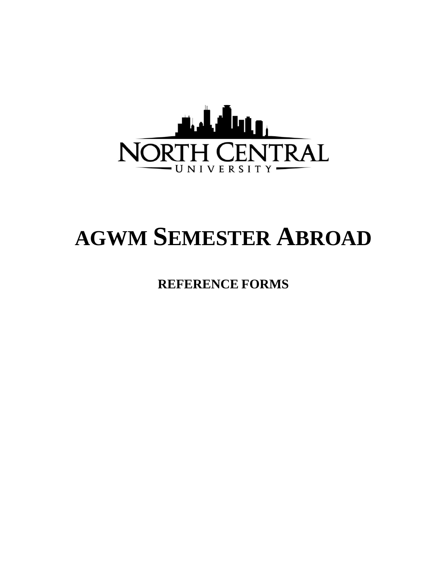

## **AGWM SEMESTER ABROAD**

**REFERENCE FORMS**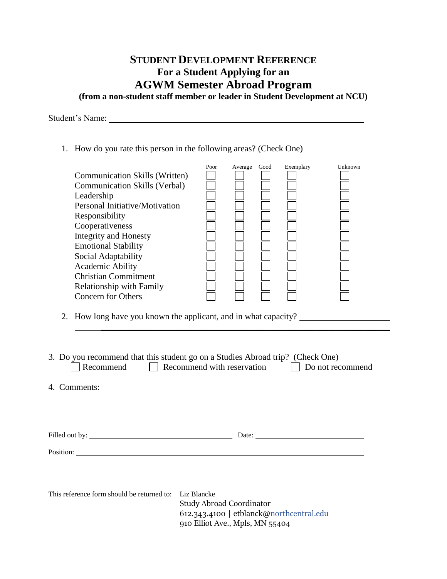## **STUDENT DEVELOPMENT REFERENCE For a Student Applying for an AGWM Semester Abroad Program (from a non-student staff member or leader in Student Development at NCU)**

Student's Name:

1. How do you rate this person in the following areas? (Check One)

| <b>Communication Skills (Written)</b><br><b>Communication Skills (Verbal)</b><br>Leadership<br>Personal Initiative/Motivation<br>Responsibility<br>Cooperativeness<br><b>Integrity and Honesty</b><br><b>Emotional Stability</b><br>Social Adaptability<br><b>Academic Ability</b><br><b>Christian Commitment</b><br><b>Relationship with Family</b><br><b>Concern for Others</b><br>2. How long have you known the applicant, and in what capacity? | Poor                                                                                                           | Average Good | Exemplary | Unknown |  |  |  |  |  |
|------------------------------------------------------------------------------------------------------------------------------------------------------------------------------------------------------------------------------------------------------------------------------------------------------------------------------------------------------------------------------------------------------------------------------------------------------|----------------------------------------------------------------------------------------------------------------|--------------|-----------|---------|--|--|--|--|--|
| 3. Do you recommend that this student go on a Studies Abroad trip? (Check One)<br>Recommend<br>Recommend with reservation<br>Do not recommend                                                                                                                                                                                                                                                                                                        |                                                                                                                |              |           |         |  |  |  |  |  |
| 4. Comments:                                                                                                                                                                                                                                                                                                                                                                                                                                         |                                                                                                                |              |           |         |  |  |  |  |  |
|                                                                                                                                                                                                                                                                                                                                                                                                                                                      |                                                                                                                |              |           |         |  |  |  |  |  |
|                                                                                                                                                                                                                                                                                                                                                                                                                                                      |                                                                                                                |              |           |         |  |  |  |  |  |
| This reference form should be returned to: Liz Blancke                                                                                                                                                                                                                                                                                                                                                                                               | <b>Study Abroad Coordinator</b><br>612.343.4100   etblanck@northcentral.edu<br>910 Elliot Ave., Mpls, MN 55404 |              |           |         |  |  |  |  |  |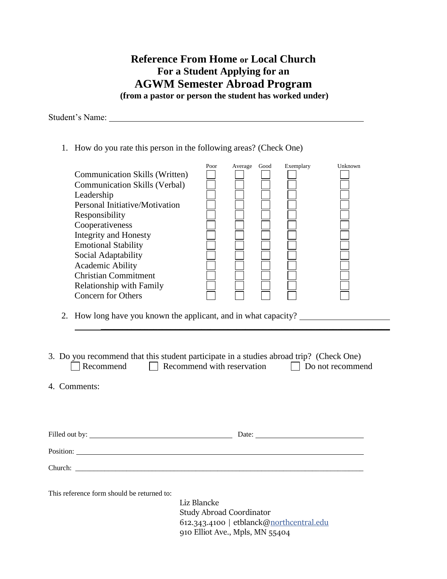**Reference From Home or Local Church For a Student Applying for an AGWM Semester Abroad Program (from a pastor or person the student has worked under)**

Student's Name:

1. How do you rate this person in the following areas? (Check One)

|                                                                 | Poor | Average | Good | Exemplary | Unknown |
|-----------------------------------------------------------------|------|---------|------|-----------|---------|
| <b>Communication Skills (Written)</b>                           |      |         |      |           |         |
| <b>Communication Skills (Verbal)</b>                            |      |         |      |           |         |
| Leadership                                                      |      |         |      |           |         |
| Personal Initiative/Motivation                                  |      |         |      |           |         |
| Responsibility                                                  |      |         |      |           |         |
| Cooperativeness                                                 |      |         |      |           |         |
| <b>Integrity and Honesty</b>                                    |      |         |      |           |         |
| <b>Emotional Stability</b>                                      |      |         |      |           |         |
| Social Adaptability                                             |      |         |      |           |         |
| <b>Academic Ability</b>                                         |      |         |      |           |         |
| <b>Christian Commitment</b>                                     |      |         |      |           |         |
| <b>Relationship with Family</b>                                 |      |         |      |           |         |
| Concern for Others                                              |      |         |      |           |         |
| 2. How long have you known the applicant, and in what capacity? |      |         |      |           |         |
|                                                                 |      |         |      |           |         |
|                                                                 |      |         |      |           |         |

3. Do you recommend that this student participate in a studies abroad trip? (Check One)  $\Box$  Recommend  $\Box$  Recommend with reservation  $\Box$  Do not recommend

4. Comments:

Filled out by: Date:

Position: **Position:** 

Church:

This reference form should be returned to:

Liz Blancke Study Abroad Coordinator 612.343.4100 | etblanck[@northcentral.edu](http://northcentral.edu/) 910 Elliot Ave., Mpls, MN 55404